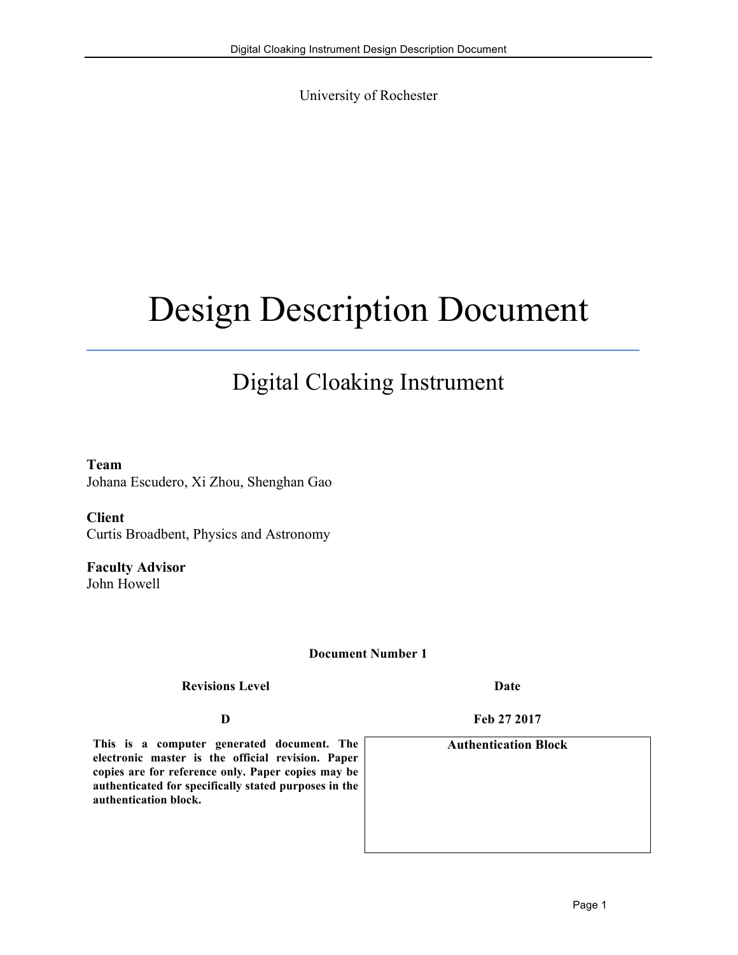University of Rochester

# Design Description Document

# Digital Cloaking Instrument

**Team**  Johana Escudero, Xi Zhou, Shenghan Gao

**Client**  Curtis Broadbent, Physics and Astronomy

**Faculty Advisor**  John Howell

#### **Document Number 1**

**Revisions Level Date**

**This is a computer generated document. The electronic master is the official revision. Paper copies are for reference only. Paper copies may be authenticated for specifically stated purposes in the authentication block.**

**D Feb 27 2017**

**Authentication Block**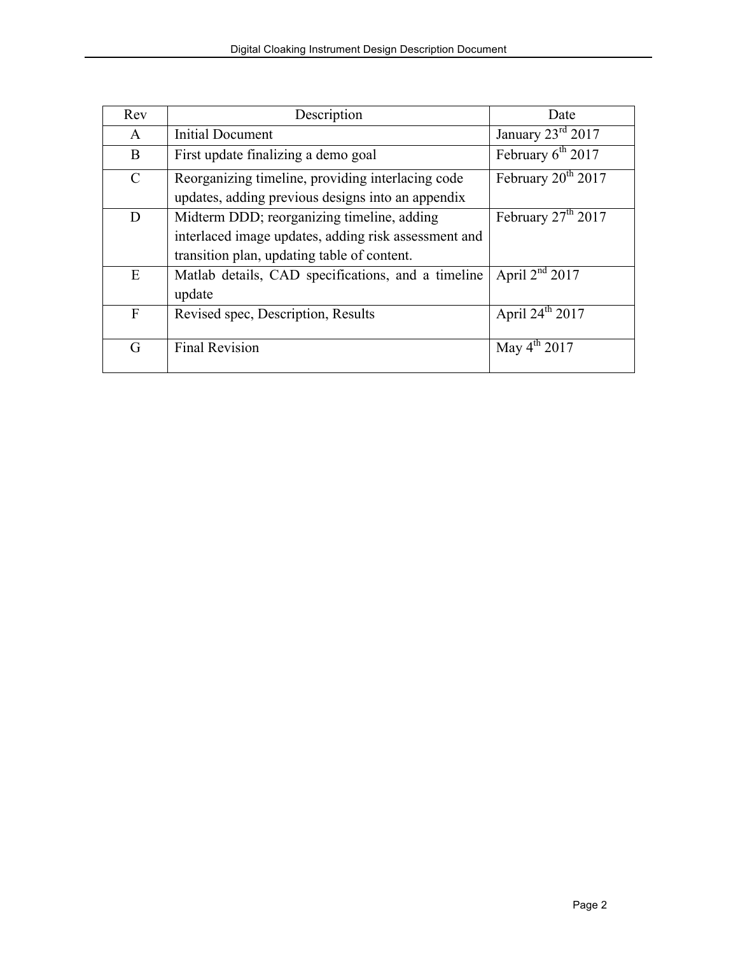| Rev           | Description                                          | Date                              |
|---------------|------------------------------------------------------|-----------------------------------|
| A             | <b>Initial Document</b>                              | January $23^{\text{rd}} 2017$     |
| B             | First update finalizing a demo goal                  | February $6^{th}$ 2017            |
| $\mathcal{C}$ | Reorganizing timeline, providing interlacing code    | February $20^{th}$ $2017$         |
|               | updates, adding previous designs into an appendix    |                                   |
| D             | Midterm DDD; reorganizing timeline, adding           | February 27 <sup>th</sup> 2017    |
|               | interlaced image updates, adding risk assessment and |                                   |
|               | transition plan, updating table of content.          |                                   |
| E             | Matlab details, CAD specifications, and a timeline   | April $2nd$ 2017                  |
|               | update                                               |                                   |
| $\mathbf{F}$  | Revised spec, Description, Results                   | April $24^{th}$ $\overline{2017}$ |
|               |                                                      |                                   |
| G             | Final Revision                                       | May $4^{th}$ 2017                 |
|               |                                                      |                                   |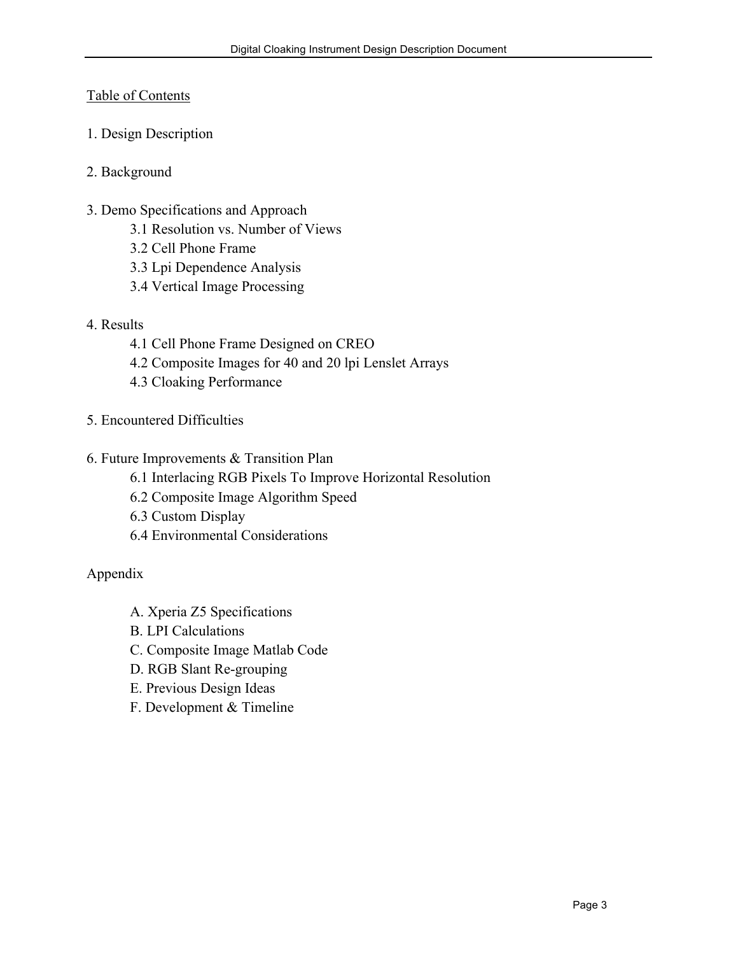# Table of Contents

- 1. Design Description
- 2. Background
- 3. Demo Specifications and Approach
	- 3.1 Resolution vs. Number of Views
	- 3.2 Cell Phone Frame
	- 3.3 Lpi Dependence Analysis
	- 3.4 Vertical Image Processing
- 4. Results
	- 4.1 Cell Phone Frame Designed on CREO
	- 4.2 Composite Images for 40 and 20 lpi Lenslet Arrays
	- 4.3 Cloaking Performance
- 5. Encountered Difficulties
- 6. Future Improvements & Transition Plan
	- 6.1 Interlacing RGB Pixels To Improve Horizontal Resolution
	- 6.2 Composite Image Algorithm Speed
	- 6.3 Custom Display
	- 6.4 Environmental Considerations

Appendix

- A. Xperia Z5 Specifications
- B. LPI Calculations
- C. Composite Image Matlab Code
- D. RGB Slant Re-grouping
- E. Previous Design Ideas
- F. Development & Timeline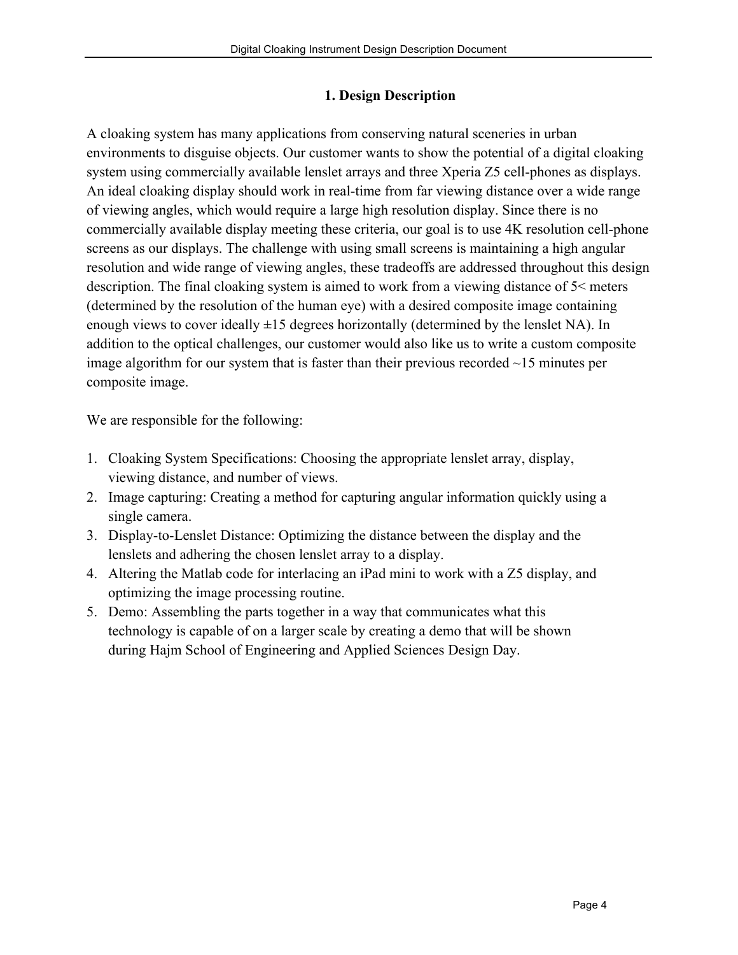#### **1. Design Description**

A cloaking system has many applications from conserving natural sceneries in urban environments to disguise objects. Our customer wants to show the potential of a digital cloaking system using commercially available lenslet arrays and three Xperia Z5 cell-phones as displays. An ideal cloaking display should work in real-time from far viewing distance over a wide range of viewing angles, which would require a large high resolution display. Since there is no commercially available display meeting these criteria, our goal is to use 4K resolution cell-phone screens as our displays. The challenge with using small screens is maintaining a high angular resolution and wide range of viewing angles, these tradeoffs are addressed throughout this design description. The final cloaking system is aimed to work from a viewing distance of 5< meters (determined by the resolution of the human eye) with a desired composite image containing enough views to cover ideally  $\pm 15$  degrees horizontally (determined by the lenslet NA). In addition to the optical challenges, our customer would also like us to write a custom composite image algorithm for our system that is faster than their previous recorded ~15 minutes per composite image.

We are responsible for the following:

- 1. Cloaking System Specifications: Choosing the appropriate lenslet array, display, viewing distance, and number of views.
- 2. Image capturing: Creating a method for capturing angular information quickly using a single camera.
- 3. Display-to-Lenslet Distance: Optimizing the distance between the display and the lenslets and adhering the chosen lenslet array to a display.
- 4. Altering the Matlab code for interlacing an iPad mini to work with a Z5 display, and optimizing the image processing routine.
- 5. Demo: Assembling the parts together in a way that communicates what this technology is capable of on a larger scale by creating a demo that will be shown during Hajm School of Engineering and Applied Sciences Design Day.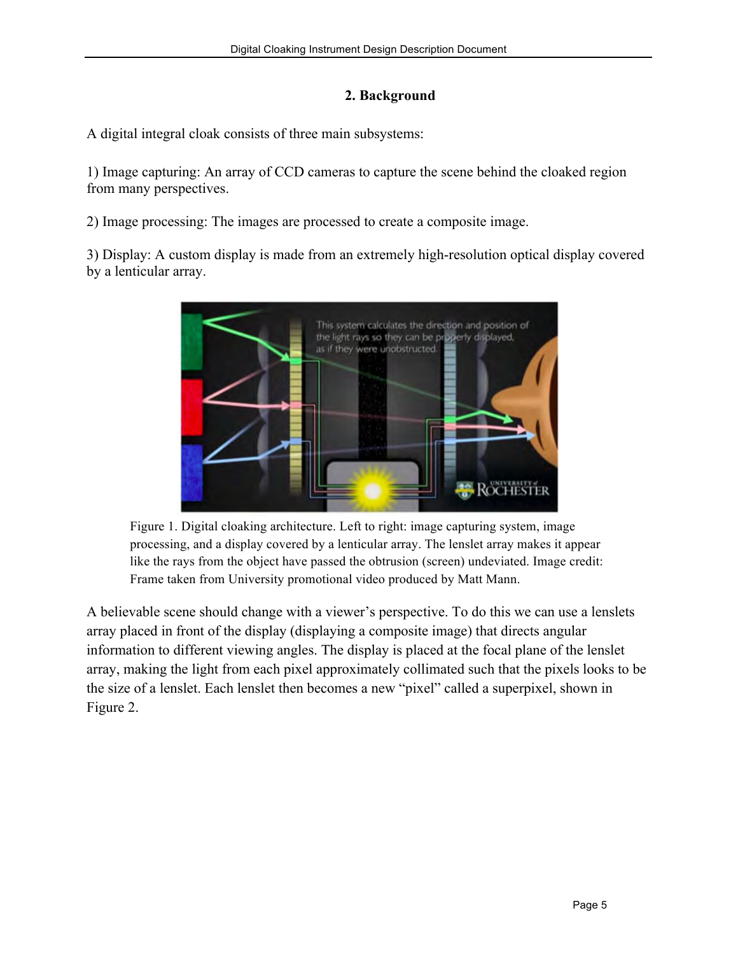# **2. Background**

A digital integral cloak consists of three main subsystems:

1) Image capturing: An array of CCD cameras to capture the scene behind the cloaked region from many perspectives.

2) Image processing: The images are processed to create a composite image.

3) Display: A custom display is made from an extremely high-resolution optical display covered by a lenticular array.



Figure 1. Digital cloaking architecture. Left to right: image capturing system, image processing, and a display covered by a lenticular array. The lenslet array makes it appear like the rays from the object have passed the obtrusion (screen) undeviated. Image credit: Frame taken from University promotional video produced by Matt Mann.

A believable scene should change with a viewer's perspective. To do this we can use a lenslets array placed in front of the display (displaying a composite image) that directs angular information to different viewing angles. The display is placed at the focal plane of the lenslet array, making the light from each pixel approximately collimated such that the pixels looks to be the size of a lenslet. Each lenslet then becomes a new "pixel" called a superpixel, shown in Figure 2.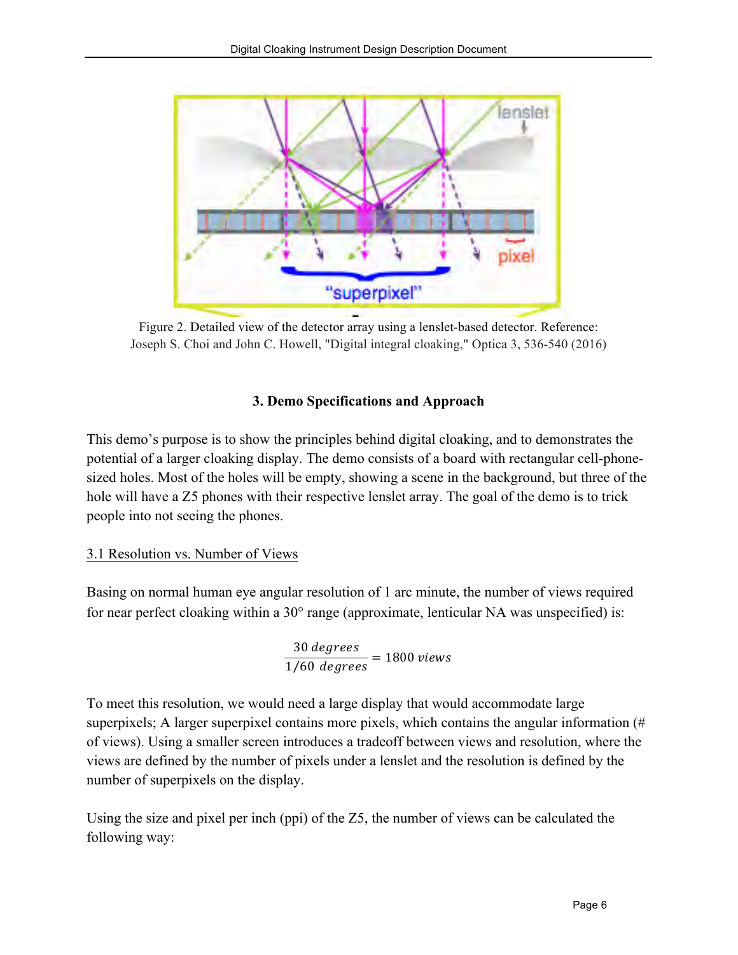

Figure 2. Detailed view of the detector array using a lenslet-based detector. Reference: Joseph S. Choi and John C. Howell, "Digital integral cloaking," Optica 3, 536-540 (2016)

#### **3. Demo Specifications and Approach**

This demo's purpose is to show the principles behind digital cloaking, and to demonstrates the potential of a larger cloaking display. The demo consists of a board with rectangular cell-phonesized holes. Most of the holes will be empty, showing a scene in the background, but three of the hole will have a Z5 phones with their respective lenslet array. The goal of the demo is to trick people into not seeing the phones.

#### 3.1 Resolution vs. Number of Views

Basing on normal human eye angular resolution of 1 arc minute, the number of views required for near perfect cloaking within a 30° range (approximate, lenticular NA was unspecified) is:

> 30 degrees  $\frac{1}{1/60} \frac{1}{degrees} = 1800 \text{ views}$

To meet this resolution, we would need a large display that would accommodate large superpixels; A larger superpixel contains more pixels, which contains the angular information (# of views). Using a smaller screen introduces a tradeoff between views and resolution, where the views are defined by the number of pixels under a lenslet and the resolution is defined by the number of superpixels on the display.

Using the size and pixel per inch (ppi) of the Z5, the number of views can be calculated the following way: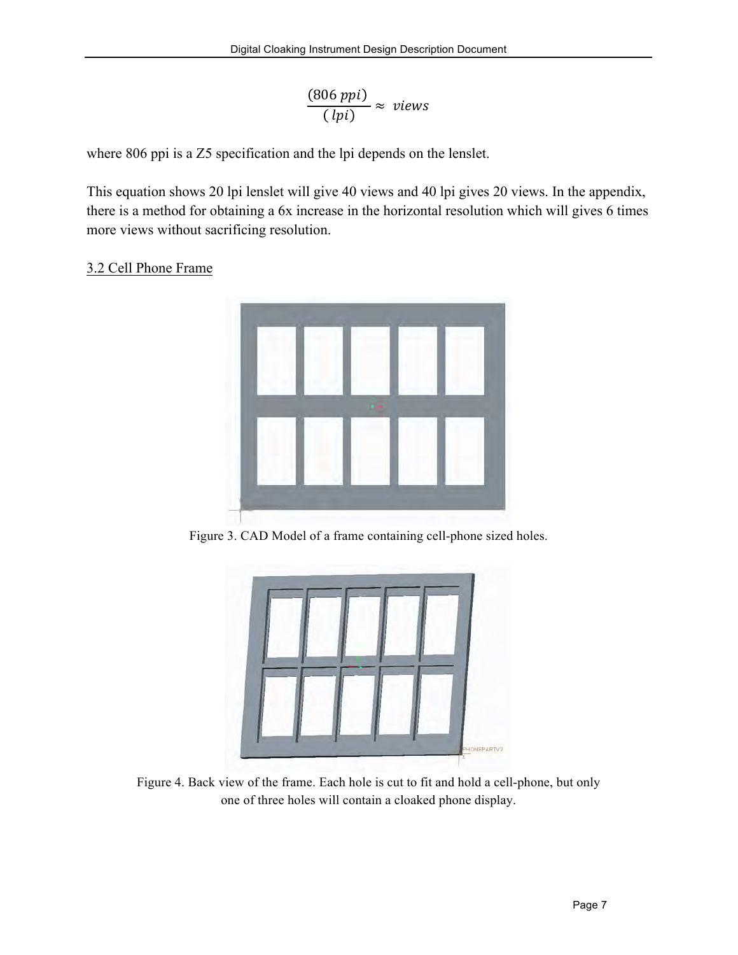$$
\frac{(806\,ppi)}{(\,lpi)} \approx \,views
$$

where 806 ppi is a Z5 specification and the lpi depends on the lenslet.

This equation shows 20 lpi lenslet will give 40 views and 40 lpi gives 20 views. In the appendix, there is a method for obtaining a 6x increase in the horizontal resolution which will gives 6 times more views without sacrificing resolution.

# 3.2 Cell Phone Frame



Figure 3. CAD Model of a frame containing cell-phone sized holes.



Figure 4. Back view of the frame. Each hole is cut to fit and hold a cell-phone, but only one of three holes will contain a cloaked phone display.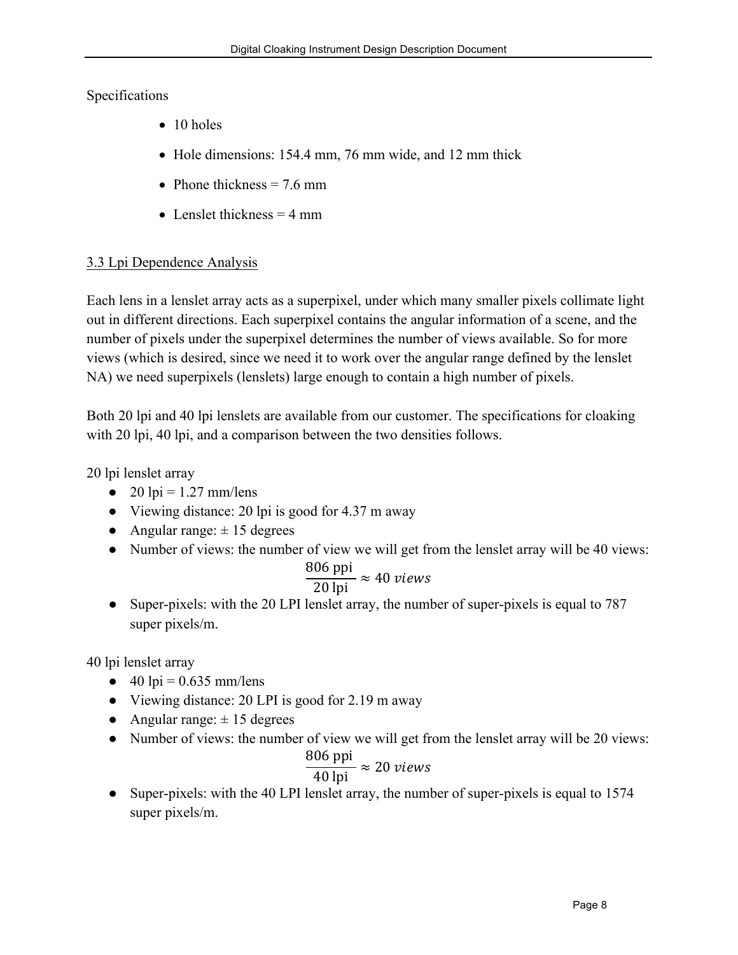# Specifications

- 10 holes
- Hole dimensions: 154.4 mm, 76 mm wide, and 12 mm thick
- Phone thickness  $= 7.6$  mm
- Lenslet thickness  $=$  4 mm

# 3.3 Lpi Dependence Analysis

Each lens in a lenslet array acts as a superpixel, under which many smaller pixels collimate light out in different directions. Each superpixel contains the angular information of a scene, and the number of pixels under the superpixel determines the number of views available. So for more views (which is desired, since we need it to work over the angular range defined by the lenslet NA) we need superpixels (lenslets) large enough to contain a high number of pixels.

Both 20 lpi and 40 lpi lenslets are available from our customer. The specifications for cloaking with 20 lpi, 40 lpi, and a comparison between the two densities follows.

20 lpi lenslet array

- $\bullet$  20 lpi = 1.27 mm/lens
- Viewing distance: 20 lpi is good for 4.37 m away
- Angular range:  $\pm$  15 degrees
- Number of views: the number of view we will get from the lenslet array will be 40 views:

$$
\frac{806 \text{ ppi}}{20 \text{ lpi}} \approx 40 \text{ views}
$$

• Super-pixels: with the 20 LPI lenslet array, the number of super-pixels is equal to 787 super pixels/m.

40 lpi lenslet array

- 40 lpi =  $0.635$  mm/lens
- Viewing distance: 20 LPI is good for 2.19 m away
- Angular range:  $\pm$  15 degrees
- Number of views: the number of view we will get from the lenslet array will be 20 views:

$$
\frac{806 \text{ ppi}}{40 \text{ lpi}} \approx 20 \text{ views}
$$

• Super-pixels: with the 40 LPI lenslet array, the number of super-pixels is equal to 1574 super pixels/m.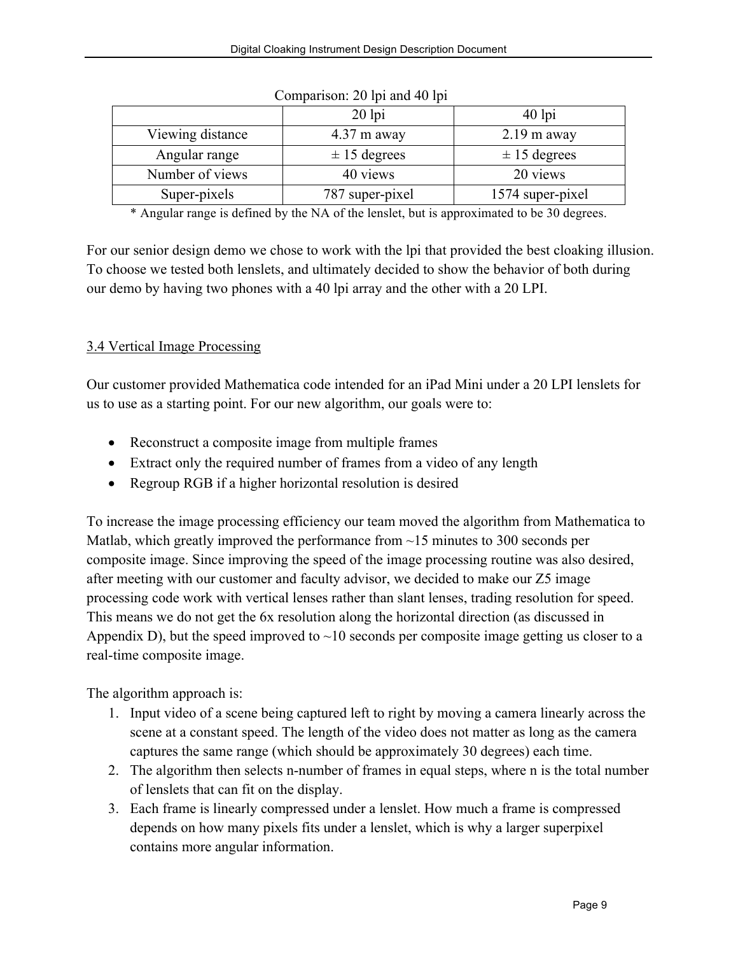|                  | $20$ lpi              | $40$ lpi         |
|------------------|-----------------------|------------------|
| Viewing distance | $4.37 \text{ m}$ away | $2.19$ m away    |
| Angular range    | $\pm$ 15 degrees      | $\pm$ 15 degrees |
| Number of views  | 40 views              | 20 views         |
| Super-pixels     | 787 super-pixel       | 1574 super-pixel |

Comparison: 20 lpi and 40 lpi

\* Angular range is defined by the NA of the lenslet, but is approximated to be 30 degrees.

For our senior design demo we chose to work with the lpi that provided the best cloaking illusion. To choose we tested both lenslets, and ultimately decided to show the behavior of both during our demo by having two phones with a 40 lpi array and the other with a 20 LPI.

# 3.4 Vertical Image Processing

Our customer provided Mathematica code intended for an iPad Mini under a 20 LPI lenslets for us to use as a starting point. For our new algorithm, our goals were to:

- Reconstruct a composite image from multiple frames
- Extract only the required number of frames from a video of any length
- Regroup RGB if a higher horizontal resolution is desired

To increase the image processing efficiency our team moved the algorithm from Mathematica to Matlab, which greatly improved the performance from ~15 minutes to 300 seconds per composite image. Since improving the speed of the image processing routine was also desired, after meeting with our customer and faculty advisor, we decided to make our Z5 image processing code work with vertical lenses rather than slant lenses, trading resolution for speed. This means we do not get the 6x resolution along the horizontal direction (as discussed in Appendix D), but the speed improved to  $\sim$ 10 seconds per composite image getting us closer to a real-time composite image.

The algorithm approach is:

- 1. Input video of a scene being captured left to right by moving a camera linearly across the scene at a constant speed. The length of the video does not matter as long as the camera captures the same range (which should be approximately 30 degrees) each time.
- 2. The algorithm then selects n-number of frames in equal steps, where n is the total number of lenslets that can fit on the display.
- 3. Each frame is linearly compressed under a lenslet. How much a frame is compressed depends on how many pixels fits under a lenslet, which is why a larger superpixel contains more angular information.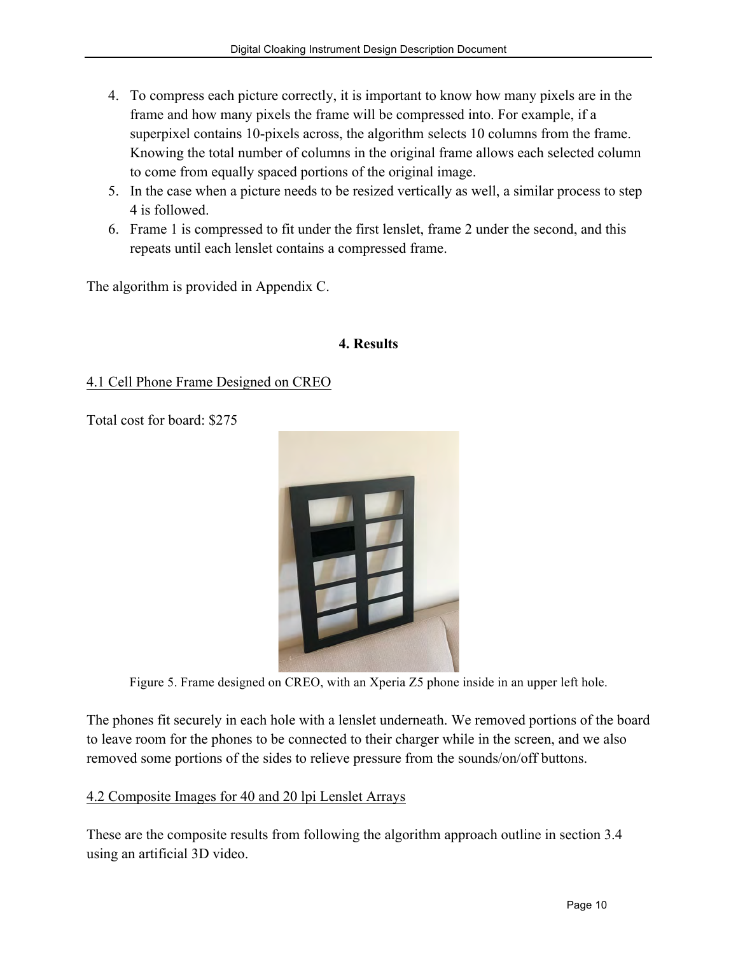- 4. To compress each picture correctly, it is important to know how many pixels are in the frame and how many pixels the frame will be compressed into. For example, if a superpixel contains 10-pixels across, the algorithm selects 10 columns from the frame. Knowing the total number of columns in the original frame allows each selected column to come from equally spaced portions of the original image.
- 5. In the case when a picture needs to be resized vertically as well, a similar process to step 4 is followed.
- 6. Frame 1 is compressed to fit under the first lenslet, frame 2 under the second, and this repeats until each lenslet contains a compressed frame.

The algorithm is provided in Appendix C.

#### **4. Results**

# 4.1 Cell Phone Frame Designed on CREO

Total cost for board: \$275



Figure 5. Frame designed on CREO, with an Xperia Z5 phone inside in an upper left hole.

The phones fit securely in each hole with a lenslet underneath. We removed portions of the board to leave room for the phones to be connected to their charger while in the screen, and we also removed some portions of the sides to relieve pressure from the sounds/on/off buttons.

#### 4.2 Composite Images for 40 and 20 lpi Lenslet Arrays

These are the composite results from following the algorithm approach outline in section 3.4 using an artificial 3D video.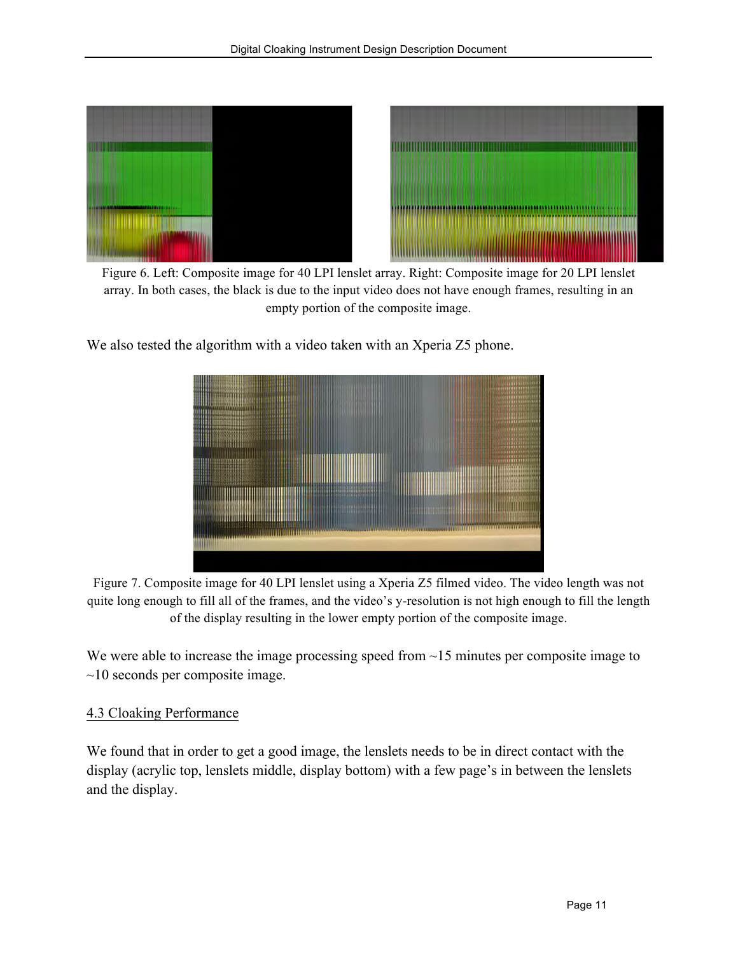

Figure 6. Left: Composite image for 40 LPI lenslet array. Right: Composite image for 20 LPI lenslet array. In both cases, the black is due to the input video does not have enough frames, resulting in an empty portion of the composite image.

We also tested the algorithm with a video taken with an Xperia Z5 phone.



Figure 7. Composite image for 40 LPI lenslet using a Xperia Z5 filmed video. The video length was not quite long enough to fill all of the frames, and the video's y-resolution is not high enough to fill the length of the display resulting in the lower empty portion of the composite image.

We were able to increase the image processing speed from  $\sim$ 15 minutes per composite image to  $\sim$ 10 seconds per composite image.

#### 4.3 Cloaking Performance

We found that in order to get a good image, the lenslets needs to be in direct contact with the display (acrylic top, lenslets middle, display bottom) with a few page's in between the lenslets and the display.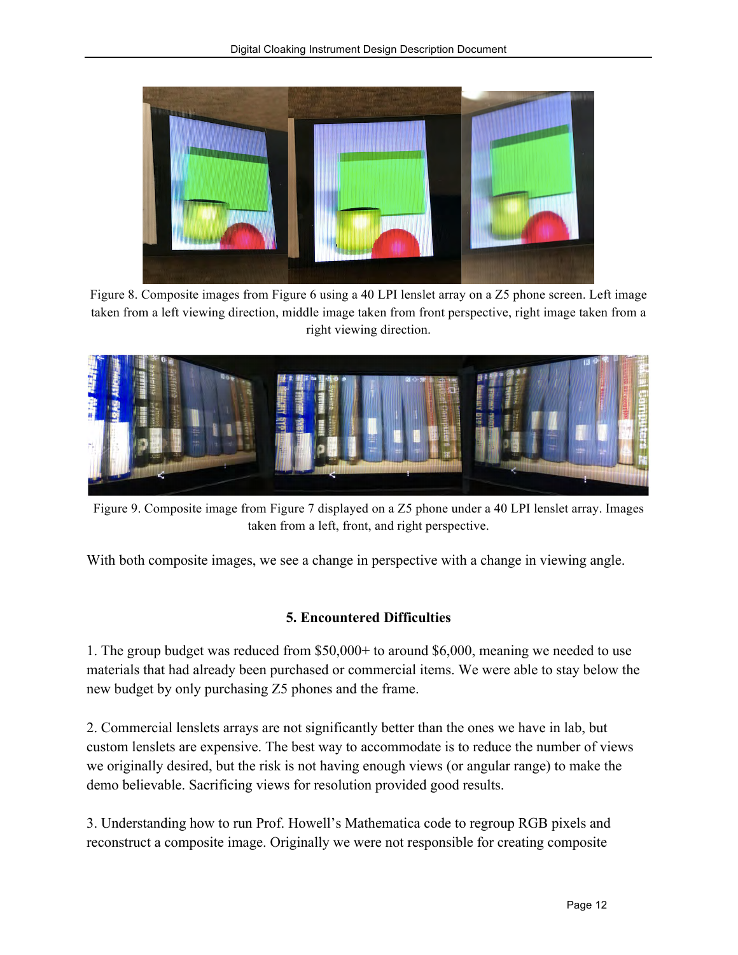

Figure 8. Composite images from Figure 6 using a 40 LPI lenslet array on a Z5 phone screen. Left image taken from a left viewing direction, middle image taken from front perspective, right image taken from a right viewing direction.



Figure 9. Composite image from Figure 7 displayed on a Z5 phone under a 40 LPI lenslet array. Images taken from a left, front, and right perspective.

With both composite images, we see a change in perspective with a change in viewing angle.

# **5. Encountered Difficulties**

1. The group budget was reduced from \$50,000+ to around \$6,000, meaning we needed to use materials that had already been purchased or commercial items. We were able to stay below the new budget by only purchasing Z5 phones and the frame.

2. Commercial lenslets arrays are not significantly better than the ones we have in lab, but custom lenslets are expensive. The best way to accommodate is to reduce the number of views we originally desired, but the risk is not having enough views (or angular range) to make the demo believable. Sacrificing views for resolution provided good results.

3. Understanding how to run Prof. Howell's Mathematica code to regroup RGB pixels and reconstruct a composite image. Originally we were not responsible for creating composite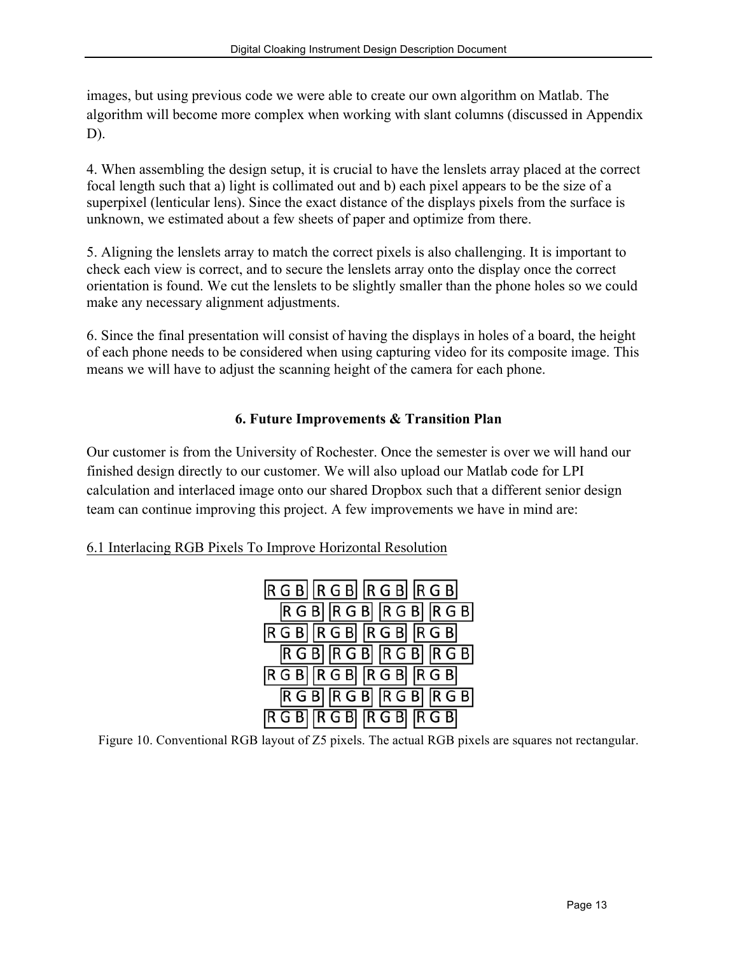images, but using previous code we were able to create our own algorithm on Matlab. The algorithm will become more complex when working with slant columns (discussed in Appendix D).

4. When assembling the design setup, it is crucial to have the lenslets array placed at the correct focal length such that a) light is collimated out and b) each pixel appears to be the size of a superpixel (lenticular lens). Since the exact distance of the displays pixels from the surface is unknown, we estimated about a few sheets of paper and optimize from there.

5. Aligning the lenslets array to match the correct pixels is also challenging. It is important to check each view is correct, and to secure the lenslets array onto the display once the correct orientation is found. We cut the lenslets to be slightly smaller than the phone holes so we could make any necessary alignment adjustments.

6. Since the final presentation will consist of having the displays in holes of a board, the height of each phone needs to be considered when using capturing video for its composite image. This means we will have to adjust the scanning height of the camera for each phone.

# **6. Future Improvements & Transition Plan**

Our customer is from the University of Rochester. Once the semester is over we will hand our finished design directly to our customer. We will also upload our Matlab code for LPI calculation and interlaced image onto our shared Dropbox such that a different senior design team can continue improving this project. A few improvements we have in mind are:

# 6.1 Interlacing RGB Pixels To Improve Horizontal Resolution



Figure 10. Conventional RGB layout of Z5 pixels. The actual RGB pixels are squares not rectangular.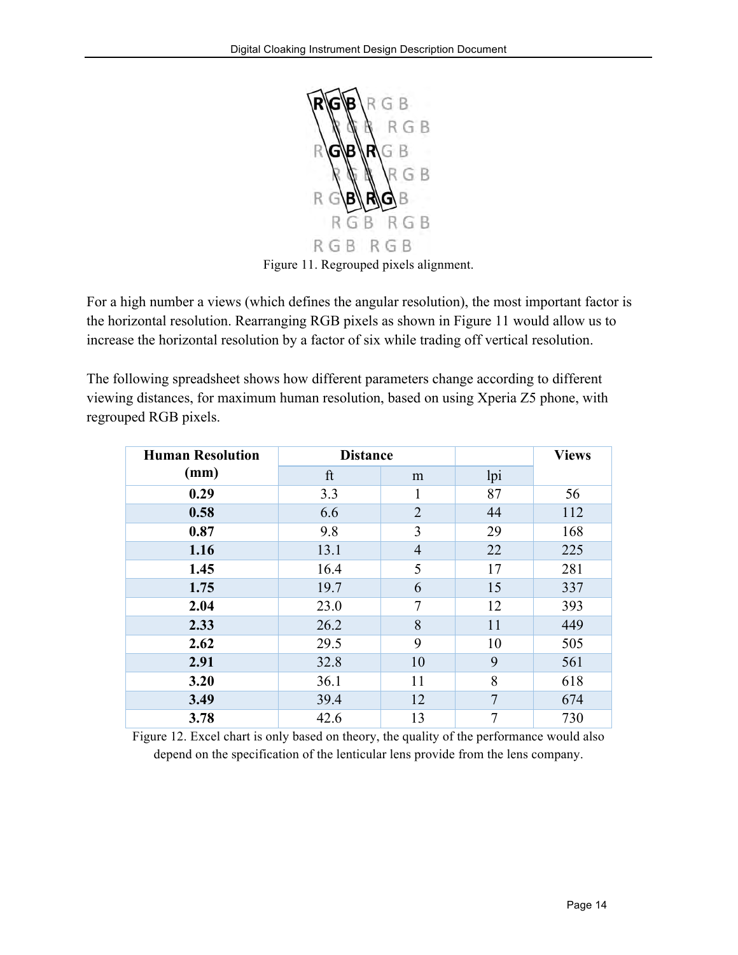

Figure 11. Regrouped pixels alignment.

For a high number a views (which defines the angular resolution), the most important factor is the horizontal resolution. Rearranging RGB pixels as shown in Figure 11 would allow us to increase the horizontal resolution by a factor of six while trading off vertical resolution.

The following spreadsheet shows how different parameters change according to different viewing distances, for maximum human resolution, based on using Xperia Z5 phone, with regrouped RGB pixels.

| <b>Human Resolution</b> | <b>Distance</b> |                |     | <b>Views</b> |
|-------------------------|-----------------|----------------|-----|--------------|
| (mm)                    | ft              | m              | lpi |              |
| 0.29                    | 3.3             | 1              | 87  | 56           |
| 0.58                    | 6.6             | 2              | 44  | 112          |
| 0.87                    | 9.8             | 3              | 29  | 168          |
| 1.16                    | 13.1            | $\overline{4}$ | 22  | 225          |
| 1.45                    | 16.4            | 5              | 17  | 281          |
| 1.75                    | 19.7            | 6              | 15  | 337          |
| 2.04                    | 23.0            | 7              | 12  | 393          |
| 2.33                    | 26.2            | 8              | 11  | 449          |
| 2.62                    | 29.5            | 9              | 10  | 505          |
| 2.91                    | 32.8            | 10             | 9   | 561          |
| 3.20                    | 36.1            | 11             | 8   | 618          |
| 3.49                    | 39.4            | 12             | 7   | 674          |
| 3.78                    | 42.6            | 13             | 7   | 730          |

Figure 12. Excel chart is only based on theory, the quality of the performance would also depend on the specification of the lenticular lens provide from the lens company.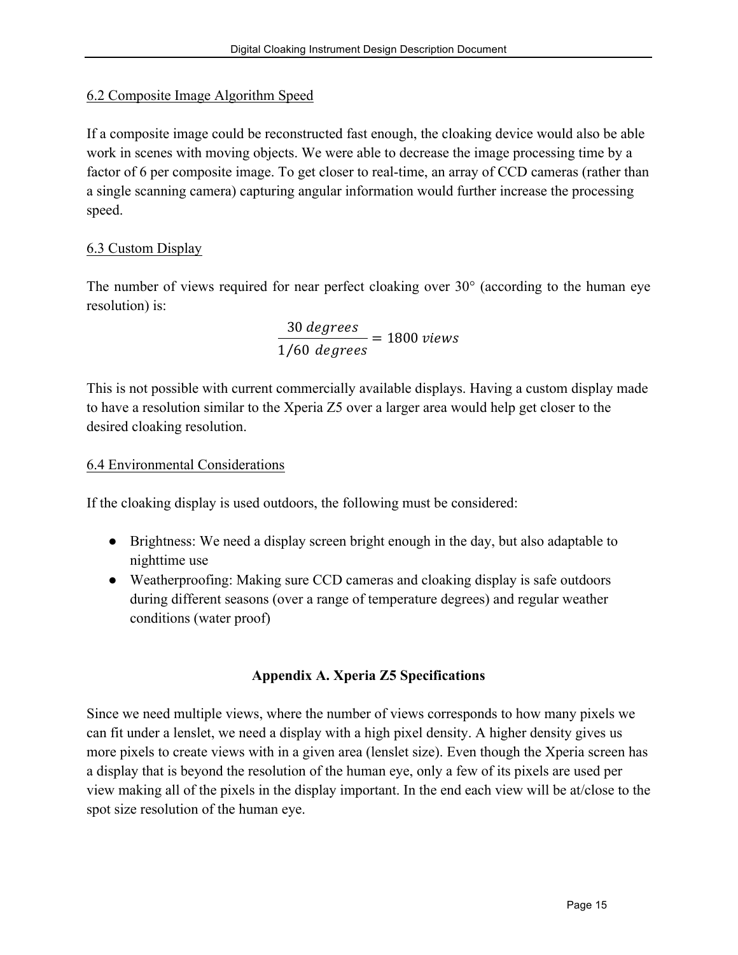#### 6.2 Composite Image Algorithm Speed

If a composite image could be reconstructed fast enough, the cloaking device would also be able work in scenes with moving objects. We were able to decrease the image processing time by a factor of 6 per composite image. To get closer to real-time, an array of CCD cameras (rather than a single scanning camera) capturing angular information would further increase the processing speed.

# 6.3 Custom Display

The number of views required for near perfect cloaking over 30° (according to the human eye resolution) is:

> 30 degrees  $\frac{1}{1/60} \frac{1}{degrees} = 1800 \text{ views}$

This is not possible with current commercially available displays. Having a custom display made to have a resolution similar to the Xperia Z5 over a larger area would help get closer to the desired cloaking resolution.

#### 6.4 Environmental Considerations

If the cloaking display is used outdoors, the following must be considered:

- Brightness: We need a display screen bright enough in the day, but also adaptable to nighttime use
- Weatherproofing: Making sure CCD cameras and cloaking display is safe outdoors during different seasons (over a range of temperature degrees) and regular weather conditions (water proof)

# **Appendix A. Xperia Z5 Specifications**

Since we need multiple views, where the number of views corresponds to how many pixels we can fit under a lenslet, we need a display with a high pixel density. A higher density gives us more pixels to create views with in a given area (lenslet size). Even though the Xperia screen has a display that is beyond the resolution of the human eye, only a few of its pixels are used per view making all of the pixels in the display important. In the end each view will be at/close to the spot size resolution of the human eye.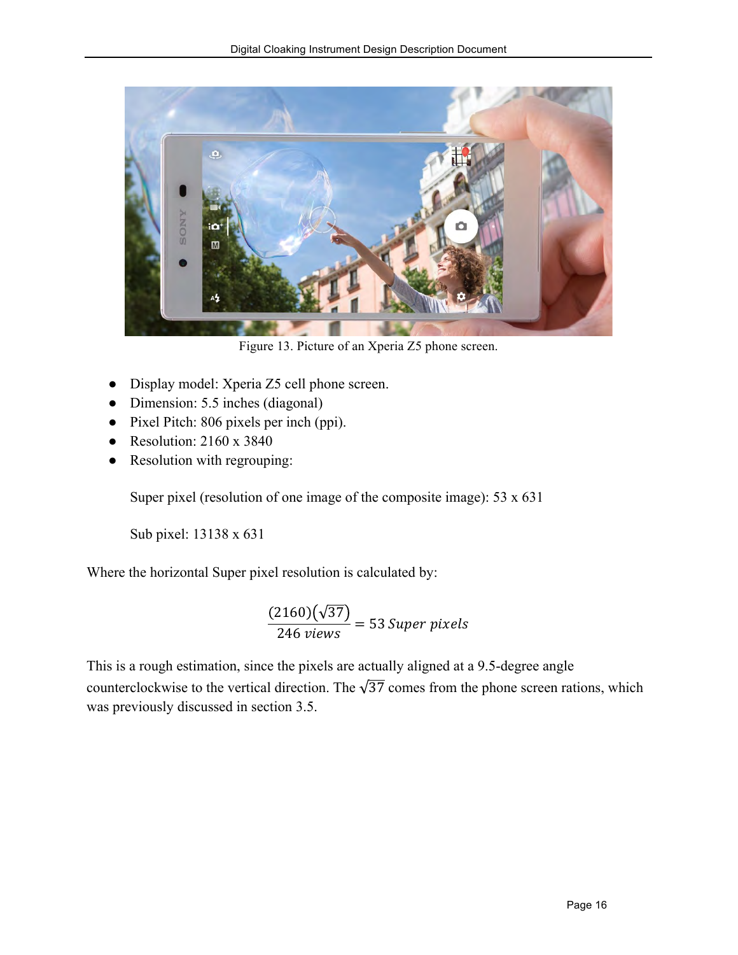

Figure 13. Picture of an Xperia Z5 phone screen.

- Display model: Xperia Z5 cell phone screen.
- Dimension: 5.5 inches (diagonal)
- Pixel Pitch: 806 pixels per inch (ppi).
- Resolution:  $2160 \times 3840$
- Resolution with regrouping:

Super pixel (resolution of one image of the composite image): 53 x 631

Sub pixel: 13138 x 631

Where the horizontal Super pixel resolution is calculated by:

 $2160)(\sqrt{37}$  $\frac{2220}{246 \text{ views}}$  = 53 Super pixels

This is a rough estimation, since the pixels are actually aligned at a 9.5-degree angle counterclockwise to the vertical direction. The  $\sqrt{37}$  comes from the phone screen rations, which was previously discussed in section 3.5.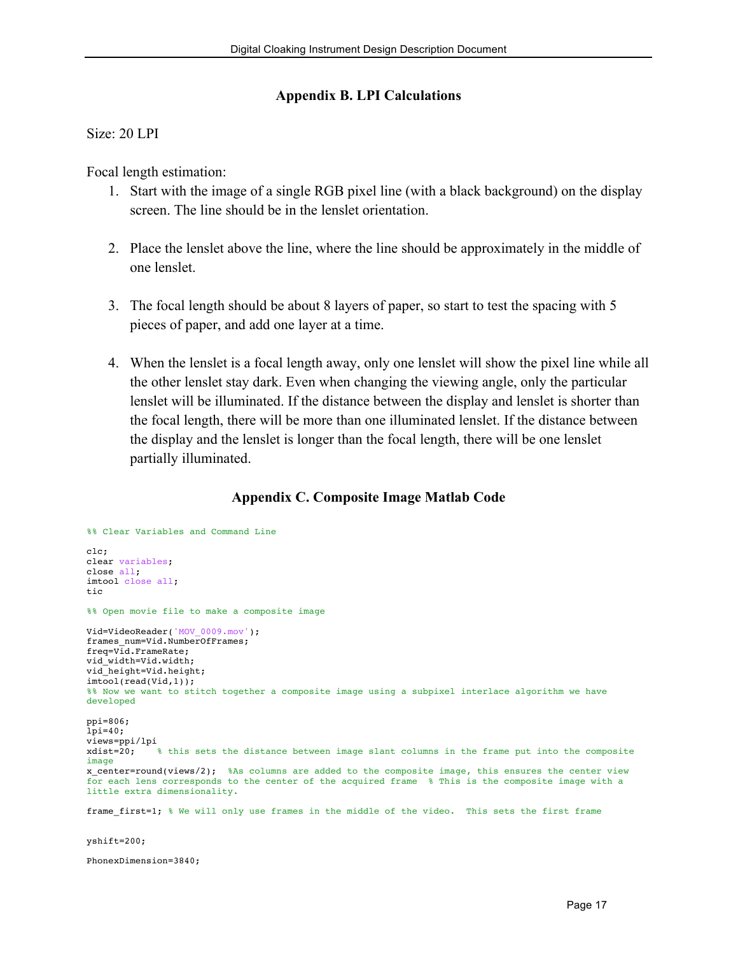#### **Appendix B. LPI Calculations**

#### Size: 20 LPI

Focal length estimation:

- 1. Start with the image of a single RGB pixel line (with a black background) on the display screen. The line should be in the lenslet orientation.
- 2. Place the lenslet above the line, where the line should be approximately in the middle of one lenslet.
- 3. The focal length should be about 8 layers of paper, so start to test the spacing with 5 pieces of paper, and add one layer at a time.
- 4. When the lenslet is a focal length away, only one lenslet will show the pixel line while all the other lenslet stay dark. Even when changing the viewing angle, only the particular lenslet will be illuminated. If the distance between the display and lenslet is shorter than the focal length, there will be more than one illuminated lenslet. If the distance between the display and the lenslet is longer than the focal length, there will be one lenslet partially illuminated.

# **Appendix C. Composite Image Matlab Code**

```
%% Clear Variables and Command Line
clc;
clear variables;
close all;
imtool close all;
tic
%% Open movie file to make a composite image
Vid=VideoReader('MOV_0009.mov');
frames_num=Vid.NumberOfFrames;
freq=Vid.FrameRate:
vid width=Vid.width:
vid_height=Vid.height;
imtool(read(Vid,1));%% Now we want to stitch together a composite image using a subpixel interlace algorithm we have
developed
ppi=806;
lpi=40;
views=ppi/lpi<br>xdist=20;
             % this sets the distance between image slant columns in the frame put into the composite
image
x center=round(views/2); %As columns are added to the composite image, this ensures the center view
for each lens corresponds to the center of the acquired frame % This is the composite image with a 
little extra dimensionality. 
frame_first=1; % We will only use frames in the middle of the video. This sets the first frame
yshift=200;
PhonexDimension=3840;
```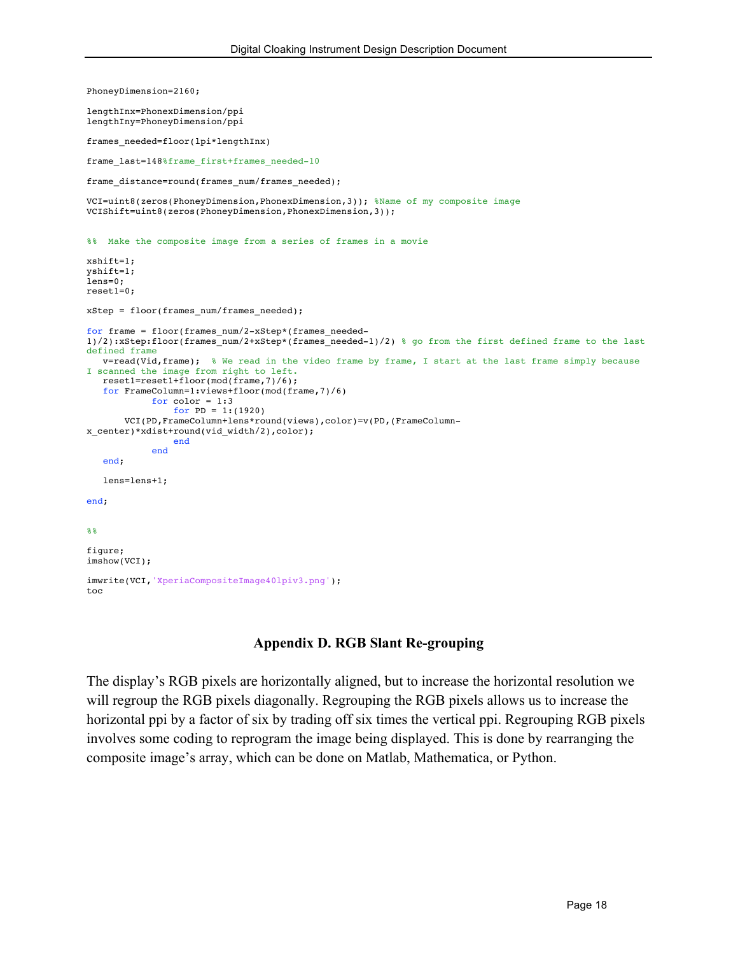```
PhoneyDimension=2160;
lengthInx=PhonexDimension/ppi
lengthIny=PhoneyDimension/ppi
frames_needed=floor(lpi*lengthInx)
frame last=148%frame first+frames needed-10
frame_distance=round(frames_num/frames_needed);
VCI=uint8(zeros(PhoneyDimension,PhonexDimension,3)); %Name of my composite image
VCIShift=uint8(zeros(PhoneyDimension,PhonexDimension,3));
%% Make the composite image from a series of frames in a movie
xshift=1;
yshift=1;
lens=0;
reset1=0;
xStep = floor(frames_num/frames_needed);
for frame = floor(frames_num/2-xStep*(frames_needed-
1)/2):xStep:floor(frames_num/2+xStep*(frames_needed-1)/2) % go from the first defined frame to the last
defined frame
  v=read(Vid,frame); % We read in the video frame by frame, I start at the last frame simply because 
I scanned the image from right to left.
  reset1=reset1+floor(mod(frame,7)/6);
   for FrameColumn=1:views+floor(mod(frame,7)/6)
           for color = 1:3for PD = 1: (1920)VCI(PD,FrameColumn+lens*round(views),color)=v(PD,(FrameColumn-
x_center)*xdist+round(vid_width/2),color);
                end
            end
   end;
  lens=lens+1;
end;
%figure;
imshow(VCI);
imwrite(VCI,'XperiaCompositeImage40lpiv3.png');
toc
```
#### **Appendix D. RGB Slant Re-grouping**

The display's RGB pixels are horizontally aligned, but to increase the horizontal resolution we will regroup the RGB pixels diagonally. Regrouping the RGB pixels allows us to increase the horizontal ppi by a factor of six by trading off six times the vertical ppi. Regrouping RGB pixels involves some coding to reprogram the image being displayed. This is done by rearranging the composite image's array, which can be done on Matlab, Mathematica, or Python.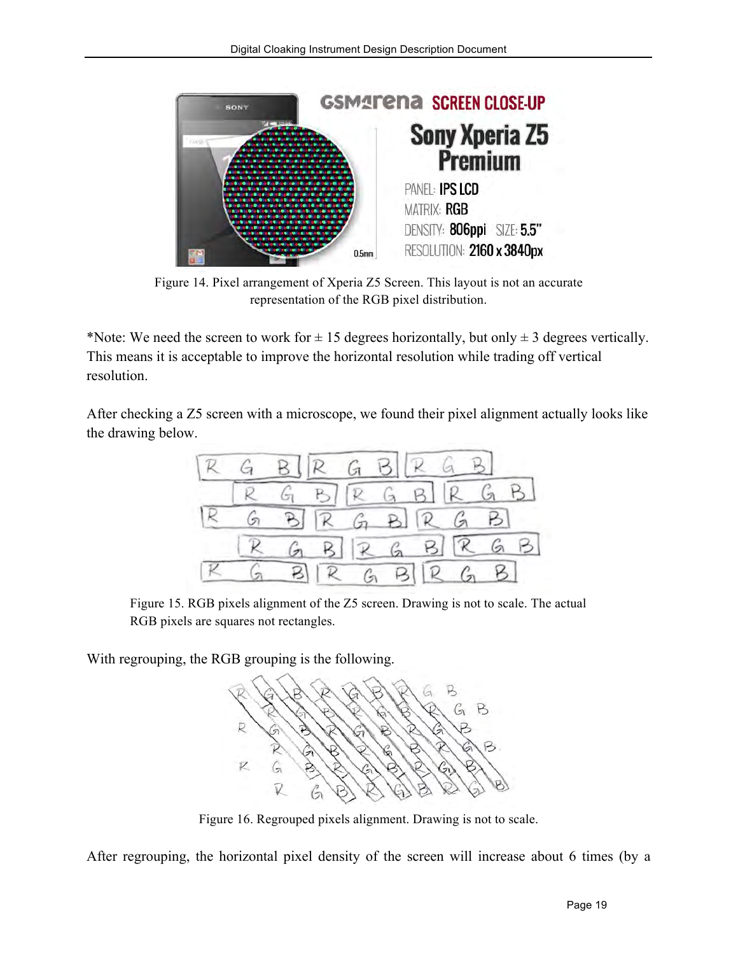

Figure 14. Pixel arrangement of Xperia Z5 Screen. This layout is not an accurate representation of the RGB pixel distribution.

\*Note: We need the screen to work for  $\pm$  15 degrees horizontally, but only  $\pm$  3 degrees vertically. This means it is acceptable to improve the horizontal resolution while trading off vertical resolution.

After checking a Z5 screen with a microscope, we found their pixel alignment actually looks like the drawing below.



Figure 15. RGB pixels alignment of the Z5 screen. Drawing is not to scale. The actual RGB pixels are squares not rectangles.

With regrouping, the RGB grouping is the following.



Figure 16. Regrouped pixels alignment. Drawing is not to scale.

After regrouping, the horizontal pixel density of the screen will increase about 6 times (by a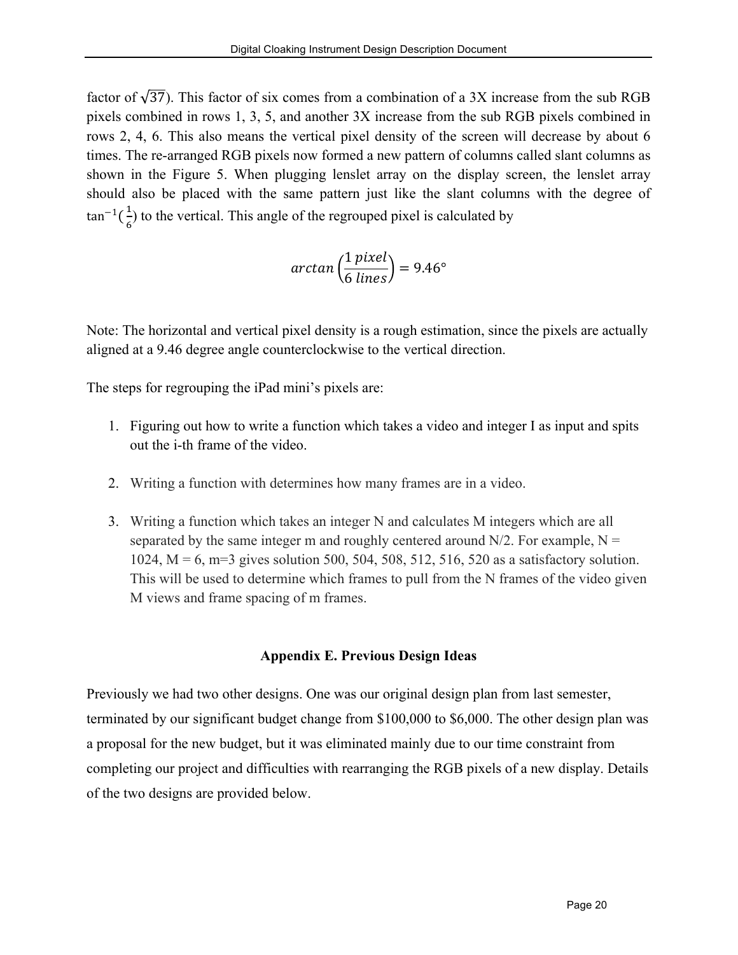factor of  $\sqrt{37}$ ). This factor of six comes from a combination of a 3X increase from the sub RGB pixels combined in rows 1, 3, 5, and another 3X increase from the sub RGB pixels combined in rows 2, 4, 6. This also means the vertical pixel density of the screen will decrease by about 6 times. The re-arranged RGB pixels now formed a new pattern of columns called slant columns as shown in the Figure 5. When plugging lenslet array on the display screen, the lenslet array should also be placed with the same pattern just like the slant columns with the degree of  $\tan^{-1}(\frac{1}{\epsilon})$  $\frac{1}{6}$ ) to the vertical. This angle of the regrouped pixel is calculated by

$$
\arctan\left(\frac{1\,pixel}{6\,lines}\right) = 9.46^{\circ}
$$

Note: The horizontal and vertical pixel density is a rough estimation, since the pixels are actually aligned at a 9.46 degree angle counterclockwise to the vertical direction.

The steps for regrouping the iPad mini's pixels are:

- 1. Figuring out how to write a function which takes a video and integer I as input and spits out the i-th frame of the video.
- 2. Writing a function with determines how many frames are in a video.
- 3. Writing a function which takes an integer N and calculates M integers which are all separated by the same integer m and roughly centered around  $N/2$ . For example,  $N =$ 1024, M = 6, m=3 gives solution 500, 504, 508, 512, 516, 520 as a satisfactory solution. This will be used to determine which frames to pull from the N frames of the video given M views and frame spacing of m frames.

#### **Appendix E. Previous Design Ideas**

Previously we had two other designs. One was our original design plan from last semester, terminated by our significant budget change from \$100,000 to \$6,000. The other design plan was a proposal for the new budget, but it was eliminated mainly due to our time constraint from completing our project and difficulties with rearranging the RGB pixels of a new display. Details of the two designs are provided below.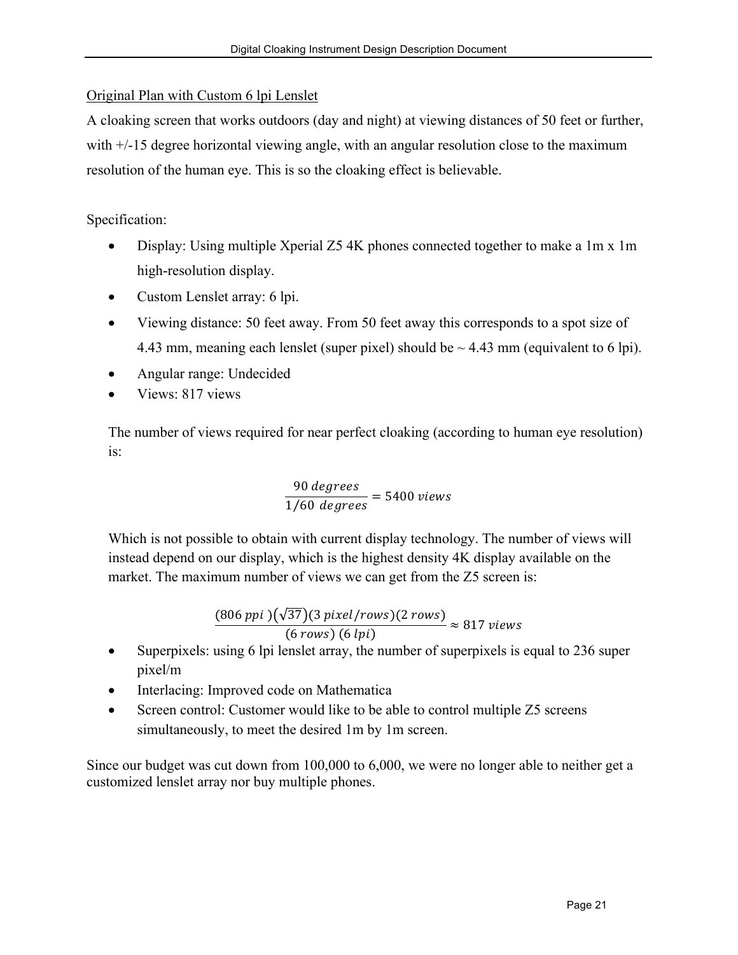#### Original Plan with Custom 6 lpi Lenslet

A cloaking screen that works outdoors (day and night) at viewing distances of 50 feet or further, with  $+/-15$  degree horizontal viewing angle, with an angular resolution close to the maximum resolution of the human eye. This is so the cloaking effect is believable.

Specification:

- Display: Using multiple Xperial Z5 4K phones connected together to make a 1m x 1m high-resolution display.
- Custom Lenslet array: 6 lpi.
- Viewing distance: 50 feet away. From 50 feet away this corresponds to a spot size of 4.43 mm, meaning each lenslet (super pixel) should be  $\sim$  4.43 mm (equivalent to 6 lpi).
- Angular range: Undecided
- Views: 817 views

The number of views required for near perfect cloaking (according to human eye resolution) is:

> 90 degrees  $\frac{1}{1/60} \frac{1}{degrees} = 5400$  views

Which is not possible to obtain with current display technology. The number of views will instead depend on our display, which is the highest density 4K display available on the market. The maximum number of views we can get from the Z5 screen is:

> 806 37 3 / 2  $\frac{66 \text{ pucy} \cdot 66 \text{ pucy}}{6 \text{ rows}}$  (6 lpi)  $\approx 817$  views

- Superpixels: using 6 lpi lenslet array, the number of superpixels is equal to 236 super pixel/m
- Interlacing: Improved code on Mathematica
- Screen control: Customer would like to be able to control multiple Z5 screens simultaneously, to meet the desired 1m by 1m screen.

Since our budget was cut down from 100,000 to 6,000, we were no longer able to neither get a customized lenslet array nor buy multiple phones.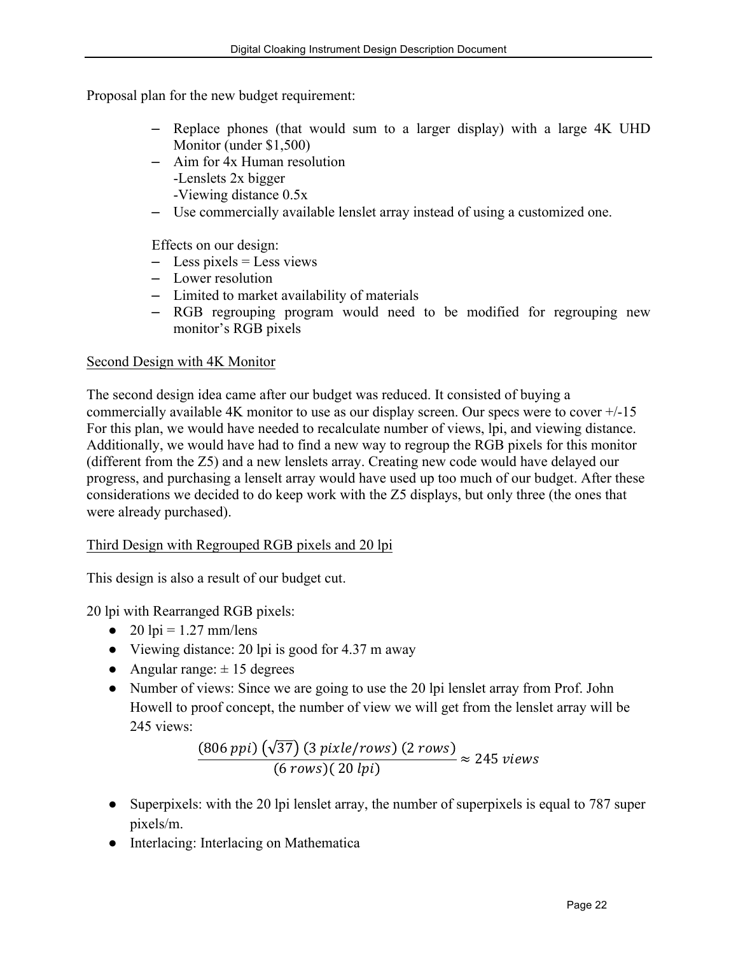Proposal plan for the new budget requirement:

- Replace phones (that would sum to a larger display) with a large 4K UHD Monitor (under \$1,500)
- Aim for 4x Human resolution -Lenslets 2x bigger
	- -Viewing distance 0.5x
- Use commercially available lenslet array instead of using a customized one.

Effects on our design:

- $-$  Less pixels = Less views
- Lower resolution
- Limited to market availability of materials
- RGB regrouping program would need to be modified for regrouping new monitor's RGB pixels

#### Second Design with 4K Monitor

The second design idea came after our budget was reduced. It consisted of buying a commercially available 4K monitor to use as our display screen. Our specs were to cover +/-15 For this plan, we would have needed to recalculate number of views, lpi, and viewing distance. Additionally, we would have had to find a new way to regroup the RGB pixels for this monitor (different from the Z5) and a new lenslets array. Creating new code would have delayed our progress, and purchasing a lenselt array would have used up too much of our budget. After these considerations we decided to do keep work with the Z5 displays, but only three (the ones that were already purchased).

#### Third Design with Regrouped RGB pixels and 20 lpi

This design is also a result of our budget cut.

20 lpi with Rearranged RGB pixels:

- $\bullet$  20 lpi = 1.27 mm/lens
- Viewing distance: 20 lpi is good for 4.37 m away
- Angular range:  $\pm$  15 degrees
- Number of views: Since we are going to use the 20 lpi lenslet array from Prof. John Howell to proof concept, the number of view we will get from the lenslet array will be 245 views:

$$
\frac{(806\,ppi)\left(\sqrt{37}\right)\left(3\,pixle/rows\right)\left(2\,rows\right)}{(6\,rows)(20\,lpi)} \approx 245\,views
$$

- Superpixels: with the 20 lpi lenslet array, the number of superpixels is equal to 787 super pixels/m.
- Interlacing: Interlacing on Mathematica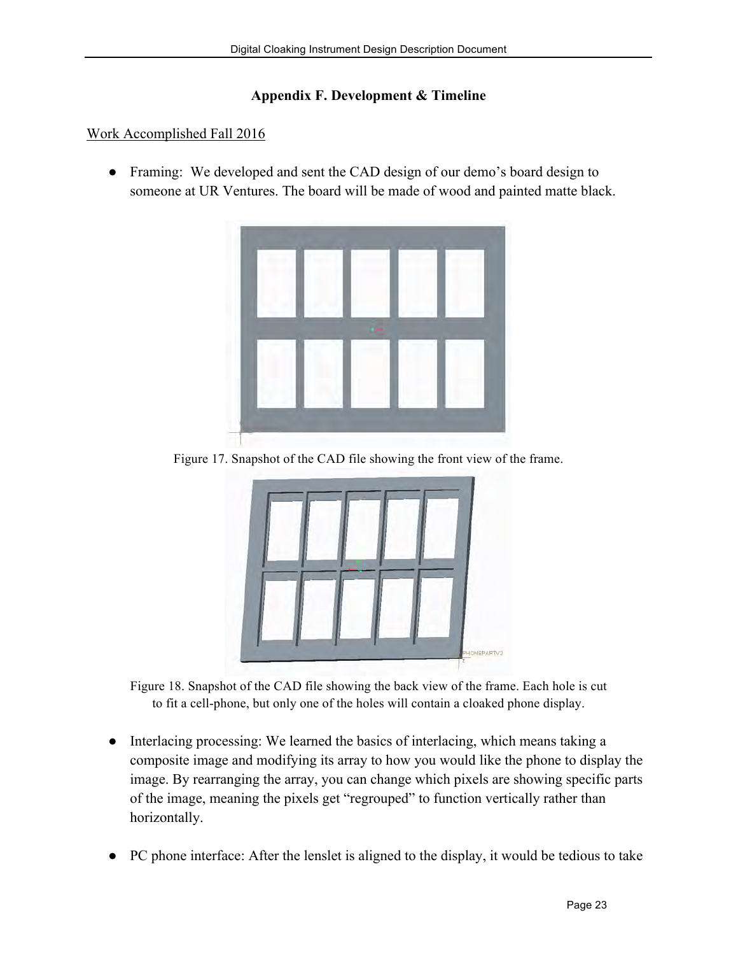#### **Appendix F. Development & Timeline**

#### Work Accomplished Fall 2016

● Framing: We developed and sent the CAD design of our demo's board design to someone at UR Ventures. The board will be made of wood and painted matte black.



Figure 17. Snapshot of the CAD file showing the front view of the frame.



Figure 18. Snapshot of the CAD file showing the back view of the frame. Each hole is cut to fit a cell-phone, but only one of the holes will contain a cloaked phone display.

- Interlacing processing: We learned the basics of interlacing, which means taking a composite image and modifying its array to how you would like the phone to display the image. By rearranging the array, you can change which pixels are showing specific parts of the image, meaning the pixels get "regrouped" to function vertically rather than horizontally.
- PC phone interface: After the lenslet is aligned to the display, it would be tedious to take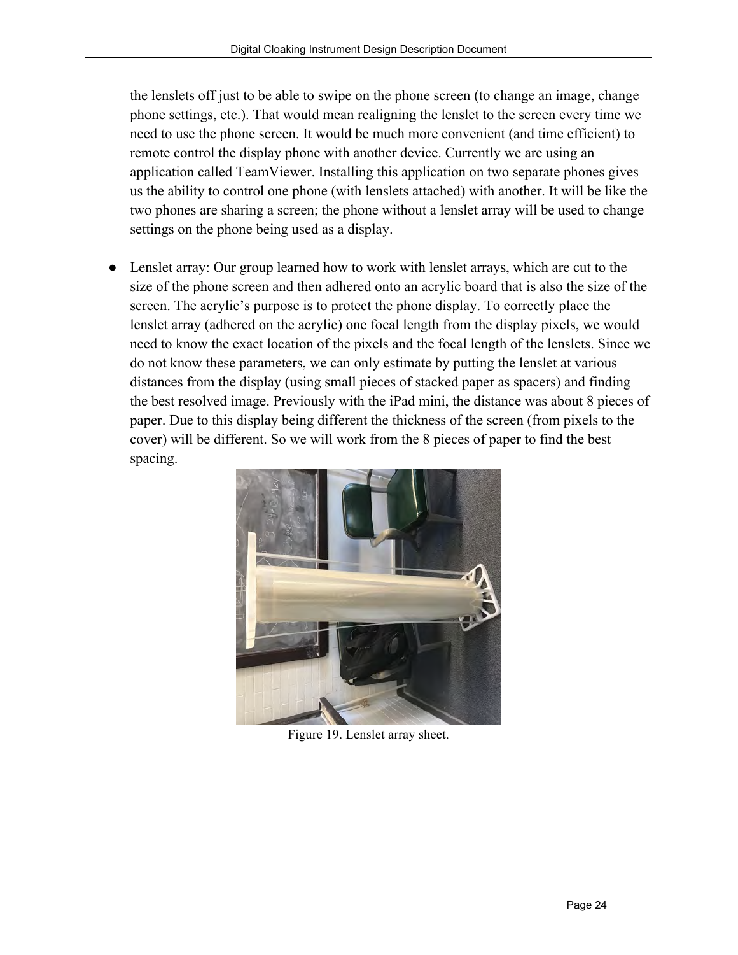the lenslets off just to be able to swipe on the phone screen (to change an image, change phone settings, etc.). That would mean realigning the lenslet to the screen every time we need to use the phone screen. It would be much more convenient (and time efficient) to remote control the display phone with another device. Currently we are using an application called TeamViewer. Installing this application on two separate phones gives us the ability to control one phone (with lenslets attached) with another. It will be like the two phones are sharing a screen; the phone without a lenslet array will be used to change settings on the phone being used as a display.

Lenslet array: Our group learned how to work with lenslet arrays, which are cut to the size of the phone screen and then adhered onto an acrylic board that is also the size of the screen. The acrylic's purpose is to protect the phone display. To correctly place the lenslet array (adhered on the acrylic) one focal length from the display pixels, we would need to know the exact location of the pixels and the focal length of the lenslets. Since we do not know these parameters, we can only estimate by putting the lenslet at various distances from the display (using small pieces of stacked paper as spacers) and finding the best resolved image. Previously with the iPad mini, the distance was about 8 pieces of paper. Due to this display being different the thickness of the screen (from pixels to the cover) will be different. So we will work from the 8 pieces of paper to find the best spacing.



Figure 19. Lenslet array sheet.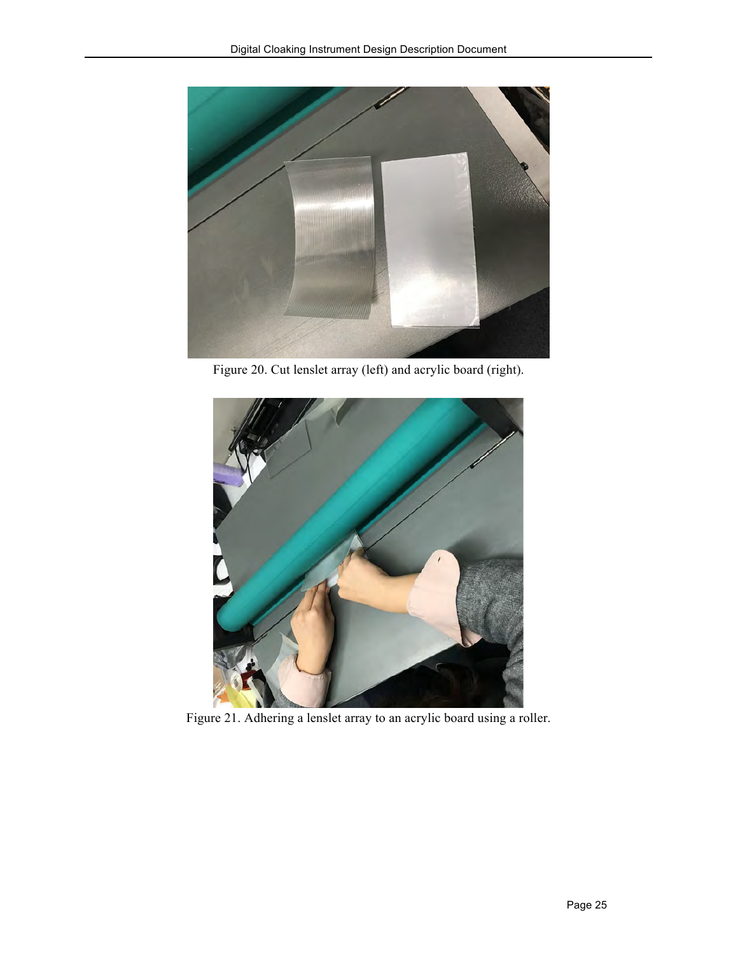

Figure 20. Cut lenslet array (left) and acrylic board (right).



Figure 21. Adhering a lenslet array to an acrylic board using a roller.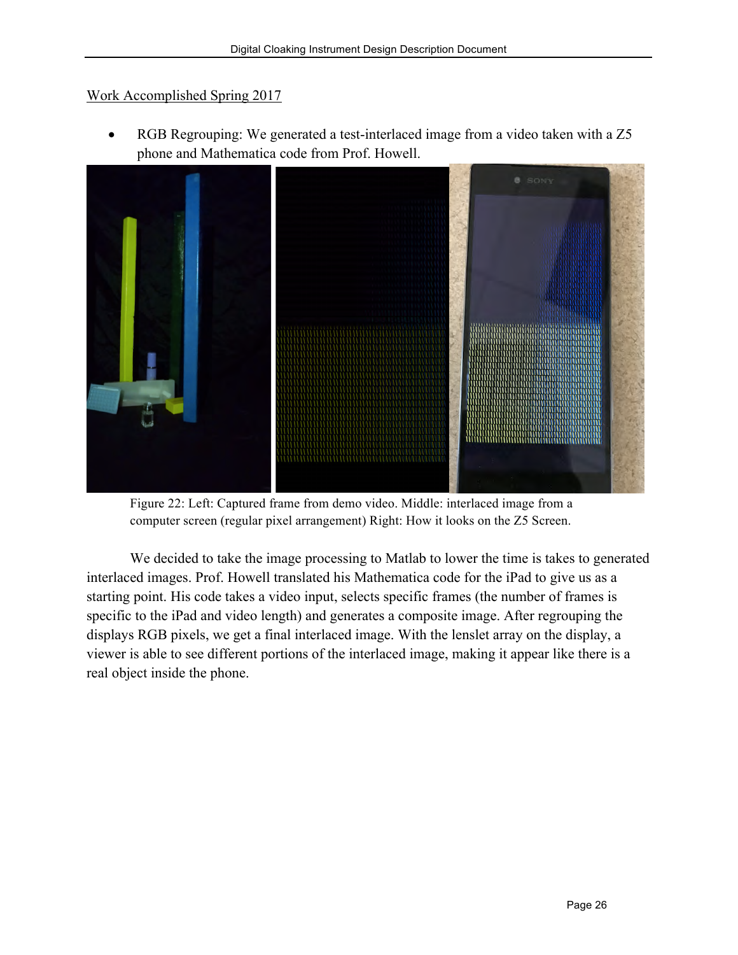#### Work Accomplished Spring 2017

RGB Regrouping: We generated a test-interlaced image from a video taken with a Z5 phone and Mathematica code from Prof. Howell.



Figure 22: Left: Captured frame from demo video. Middle: interlaced image from a computer screen (regular pixel arrangement) Right: How it looks on the Z5 Screen.

We decided to take the image processing to Matlab to lower the time is takes to generated interlaced images. Prof. Howell translated his Mathematica code for the iPad to give us as a starting point. His code takes a video input, selects specific frames (the number of frames is specific to the iPad and video length) and generates a composite image. After regrouping the displays RGB pixels, we get a final interlaced image. With the lenslet array on the display, a viewer is able to see different portions of the interlaced image, making it appear like there is a real object inside the phone.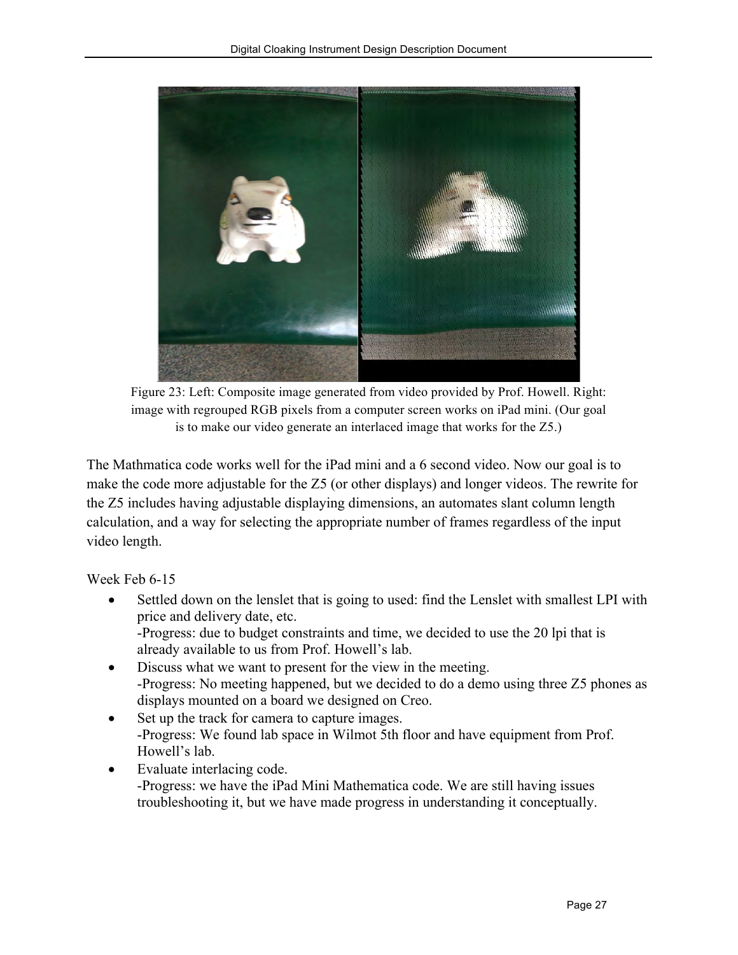

Figure 23: Left: Composite image generated from video provided by Prof. Howell. Right: image with regrouped RGB pixels from a computer screen works on iPad mini. (Our goal is to make our video generate an interlaced image that works for the Z5.)

The Mathmatica code works well for the iPad mini and a 6 second video. Now our goal is to make the code more adjustable for the Z5 (or other displays) and longer videos. The rewrite for the Z5 includes having adjustable displaying dimensions, an automates slant column length calculation, and a way for selecting the appropriate number of frames regardless of the input video length.

Week Feb 6-15

- Settled down on the lenslet that is going to used: find the Lenslet with smallest LPI with price and delivery date, etc. -Progress: due to budget constraints and time, we decided to use the 20 lpi that is already available to us from Prof. Howell's lab.
- Discuss what we want to present for the view in the meeting. -Progress: No meeting happened, but we decided to do a demo using three Z5 phones as displays mounted on a board we designed on Creo.
- Set up the track for camera to capture images. -Progress: We found lab space in Wilmot 5th floor and have equipment from Prof. Howell's lab.
- Evaluate interlacing code. -Progress: we have the iPad Mini Mathematica code. We are still having issues troubleshooting it, but we have made progress in understanding it conceptually.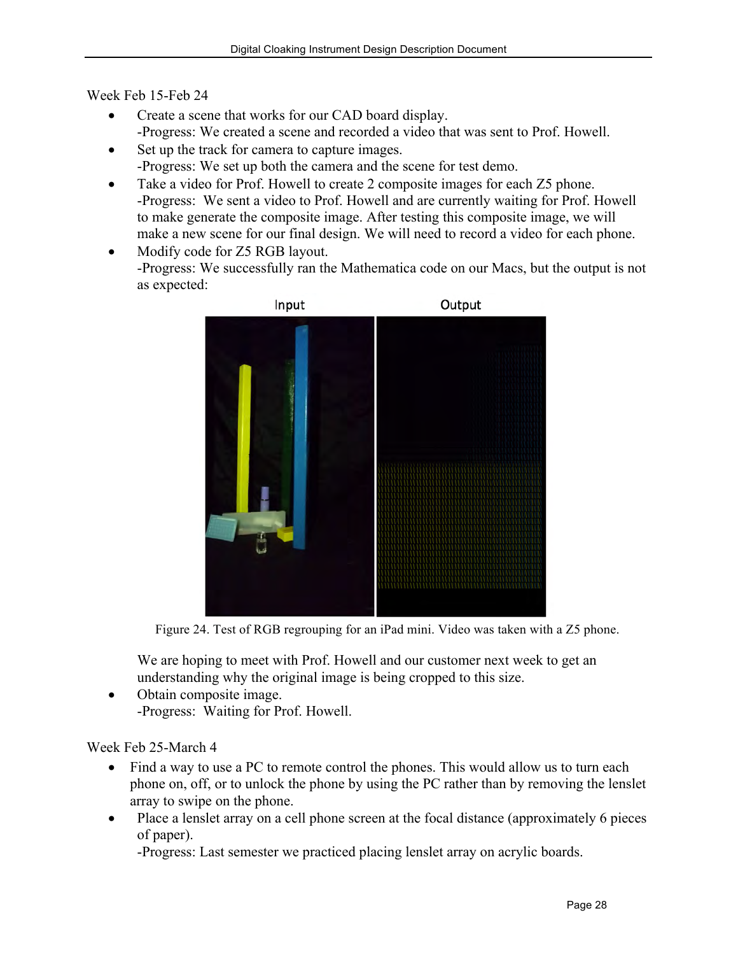Week Feb 15-Feb 24

- Create a scene that works for our CAD board display. -Progress: We created a scene and recorded a video that was sent to Prof. Howell.
- Set up the track for camera to capture images. -Progress: We set up both the camera and the scene for test demo.
- Take a video for Prof. Howell to create 2 composite images for each Z5 phone. -Progress: We sent a video to Prof. Howell and are currently waiting for Prof. Howell to make generate the composite image. After testing this composite image, we will make a new scene for our final design. We will need to record a video for each phone.
- Modify code for Z5 RGB layout. -Progress: We successfully ran the Mathematica code on our Macs, but the output is not as expected:



Figure 24. Test of RGB regrouping for an iPad mini. Video was taken with a Z5 phone.

We are hoping to meet with Prof. Howell and our customer next week to get an understanding why the original image is being cropped to this size.

• Obtain composite image. -Progress: Waiting for Prof. Howell.

#### Week Feb 25-March 4

- Find a way to use a PC to remote control the phones. This would allow us to turn each phone on, off, or to unlock the phone by using the PC rather than by removing the lenslet array to swipe on the phone.
- Place a lenslet array on a cell phone screen at the focal distance (approximately 6 pieces of paper).

-Progress: Last semester we practiced placing lenslet array on acrylic boards.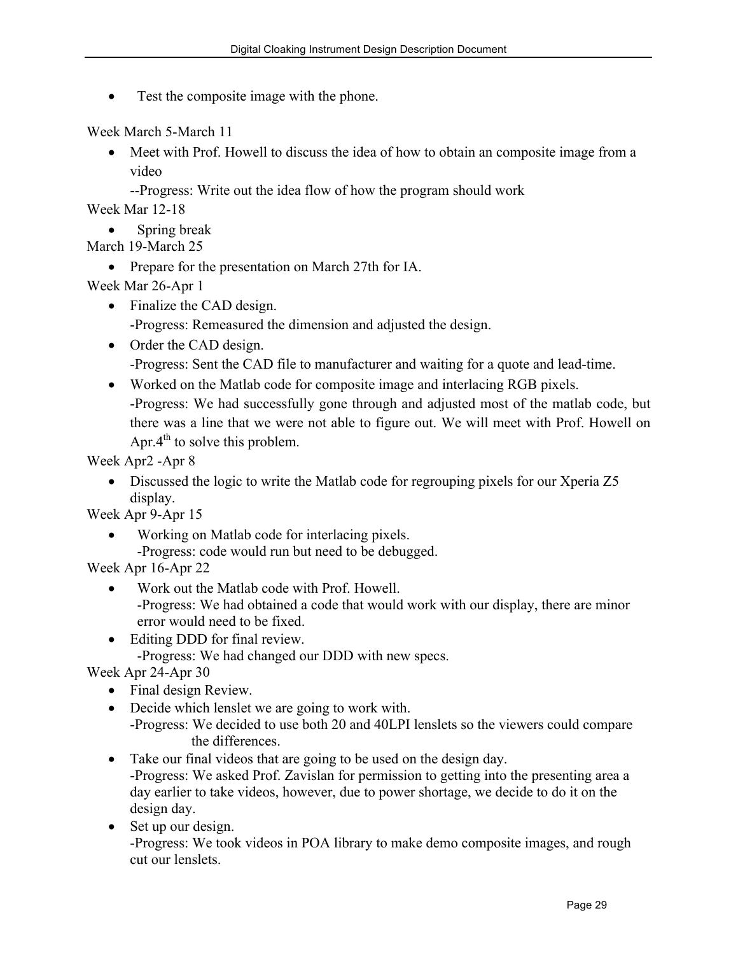Test the composite image with the phone.

Week March 5-March 11

- Meet with Prof. Howell to discuss the idea of how to obtain an composite image from a video
	- --Progress: Write out the idea flow of how the program should work

Week Mar 12-18

• Spring break

March 19-March 25

• Prepare for the presentation on March 27th for IA.

Week Mar 26-Apr 1

• Finalize the CAD design.

-Progress: Remeasured the dimension and adjusted the design.

• Order the CAD design.

-Progress: Sent the CAD file to manufacturer and waiting for a quote and lead-time.

• Worked on the Matlab code for composite image and interlacing RGB pixels.

-Progress: We had successfully gone through and adjusted most of the matlab code, but there was a line that we were not able to figure out. We will meet with Prof. Howell on Apr. $4<sup>th</sup>$  to solve this problem.

Week Apr2 -Apr 8

• Discussed the logic to write the Matlab code for regrouping pixels for our Xperia Z5 display.

Week Apr 9-Apr 15

• Working on Matlab code for interlacing pixels. -Progress: code would run but need to be debugged.

Week Apr 16-Apr 22

- Work out the Matlab code with Prof. Howell. -Progress: We had obtained a code that would work with our display, there are minor error would need to be fixed.
- Editing DDD for final review.

-Progress: We had changed our DDD with new specs.

Week Apr 24-Apr 30

- Final design Review.
- Decide which lenslet we are going to work with.

-Progress: We decided to use both 20 and 40LPI lenslets so the viewers could compare the differences.

• Take our final videos that are going to be used on the design day.

-Progress: We asked Prof. Zavislan for permission to getting into the presenting area a day earlier to take videos, however, due to power shortage, we decide to do it on the design day.

• Set up our design.

-Progress: We took videos in POA library to make demo composite images, and rough cut our lenslets.